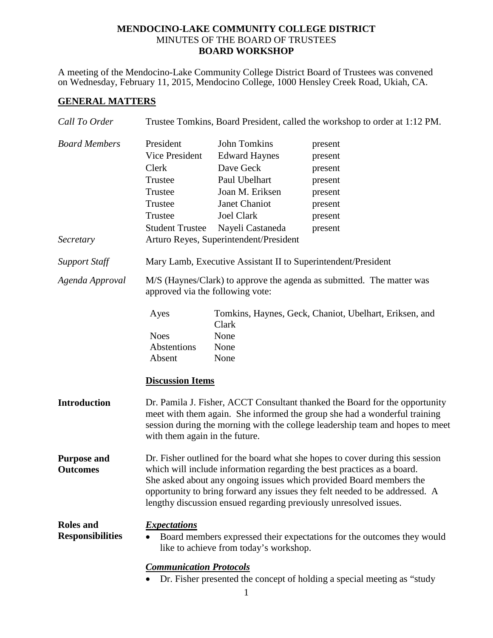### **MENDOCINO-LAKE COMMUNITY COLLEGE DISTRICT** MINUTES OF THE BOARD OF TRUSTEES **BOARD WORKSHOP**

A meeting of the Mendocino-Lake Community College District Board of Trustees was convened on Wednesday, February 11, 2015, Mendocino College, 1000 Hensley Creek Road, Ukiah, CA.

# **GENERAL MATTERS**

| Call To Order                               | Trustee Tomkins, Board President, called the workshop to order at 1:12 PM.                                                                                                                                                                                                                                                                                                          |                                                                                                                                                                                           |                                                                                      |
|---------------------------------------------|-------------------------------------------------------------------------------------------------------------------------------------------------------------------------------------------------------------------------------------------------------------------------------------------------------------------------------------------------------------------------------------|-------------------------------------------------------------------------------------------------------------------------------------------------------------------------------------------|--------------------------------------------------------------------------------------|
| <b>Board Members</b><br>Secretary           | President<br><b>Vice President</b><br>Clerk<br>Trustee<br>Trustee<br>Trustee<br>Trustee<br><b>Student Trustee</b>                                                                                                                                                                                                                                                                   | John Tomkins<br><b>Edward Haynes</b><br>Dave Geck<br>Paul Ubelhart<br>Joan M. Eriksen<br>Janet Chaniot<br><b>Joel Clark</b><br>Nayeli Castaneda<br>Arturo Reyes, Superintendent/President | present<br>present<br>present<br>present<br>present<br>present<br>present<br>present |
| <b>Support Staff</b>                        | Mary Lamb, Executive Assistant II to Superintendent/President                                                                                                                                                                                                                                                                                                                       |                                                                                                                                                                                           |                                                                                      |
| Agenda Approval                             | M/S (Haynes/Clark) to approve the agenda as submitted. The matter was<br>approved via the following vote:                                                                                                                                                                                                                                                                           |                                                                                                                                                                                           |                                                                                      |
|                                             | Ayes<br><b>Noes</b><br>Abstentions<br>Absent<br><b>Discussion Items</b>                                                                                                                                                                                                                                                                                                             | Clark<br>None<br>None<br>None                                                                                                                                                             | Tomkins, Haynes, Geck, Chaniot, Ubelhart, Eriksen, and                               |
| <b>Introduction</b>                         | Dr. Pamila J. Fisher, ACCT Consultant thanked the Board for the opportunity<br>meet with them again. She informed the group she had a wonderful training<br>session during the morning with the college leadership team and hopes to meet<br>with them again in the future.                                                                                                         |                                                                                                                                                                                           |                                                                                      |
| <b>Purpose and</b><br><b>Outcomes</b>       | Dr. Fisher outlined for the board what she hopes to cover during this session<br>which will include information regarding the best practices as a board.<br>She asked about any ongoing issues which provided Board members the<br>opportunity to bring forward any issues they felt needed to be addressed. A<br>lengthy discussion ensued regarding previously unresolved issues. |                                                                                                                                                                                           |                                                                                      |
| <b>Roles</b> and<br><b>Responsibilities</b> | <i><b>Expectations</b></i><br>Board members expressed their expectations for the outcomes they would<br>like to achieve from today's workshop.                                                                                                                                                                                                                                      |                                                                                                                                                                                           |                                                                                      |
|                                             | <b>Communication Protocols</b><br>Dr. Fisher presented the concept of holding a special meeting as "study"                                                                                                                                                                                                                                                                          |                                                                                                                                                                                           |                                                                                      |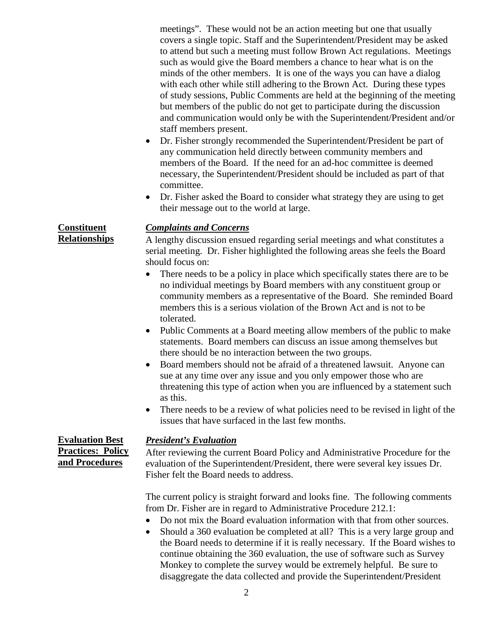meetings". These would not be an action meeting but one that usually covers a single topic. Staff and the Superintendent/President may be asked to attend but such a meeting must follow Brown Act regulations. Meetings such as would give the Board members a chance to hear what is on the minds of the other members. It is one of the ways you can have a dialog with each other while still adhering to the Brown Act. During these types of study sessions, Public Comments are held at the beginning of the meeting but members of the public do not get to participate during the discussion and communication would only be with the Superintendent/President and/or staff members present.

- Dr. Fisher strongly recommended the Superintendent/President be part of any communication held directly between community members and members of the Board. If the need for an ad-hoc committee is deemed necessary, the Superintendent/President should be included as part of that committee.
- Dr. Fisher asked the Board to consider what strategy they are using to get their message out to the world at large.

### *Complaints and Concerns*

A lengthy discussion ensued regarding serial meetings and what constitutes a serial meeting. Dr. Fisher highlighted the following areas she feels the Board should focus on:

- There needs to be a policy in place which specifically states there are to be no individual meetings by Board members with any constituent group or community members as a representative of the Board. She reminded Board members this is a serious violation of the Brown Act and is not to be tolerated.
- Public Comments at a Board meeting allow members of the public to make statements. Board members can discuss an issue among themselves but there should be no interaction between the two groups.
- Board members should not be afraid of a threatened lawsuit. Anyone can sue at any time over any issue and you only empower those who are threatening this type of action when you are influenced by a statement such as this.
- There needs to be a review of what policies need to be revised in light of the issues that have surfaced in the last few months.

### *President's Evaluation*

After reviewing the current Board Policy and Administrative Procedure for the evaluation of the Superintendent/President, there were several key issues Dr. Fisher felt the Board needs to address.

The current policy is straight forward and looks fine. The following comments from Dr. Fisher are in regard to Administrative Procedure 212.1:

- Do not mix the Board evaluation information with that from other sources.
- Should a 360 evaluation be completed at all? This is a very large group and the Board needs to determine if it is really necessary. If the Board wishes to continue obtaining the 360 evaluation, the use of software such as Survey Monkey to complete the survey would be extremely helpful. Be sure to disaggregate the data collected and provide the Superintendent/President

**Evaluation Best Practices: Policy and Procedures**

**Constituent Relationships**